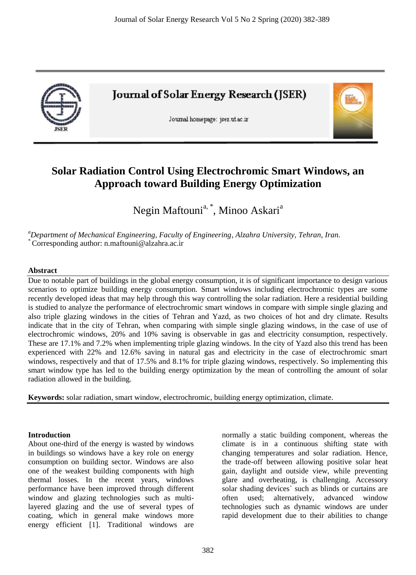

**Journal of Solar Energy Research (JSER)** 

Journal homepage: jser.ut.ac.ir



# **Solar Radiation Control Using Electrochromic Smart Windows, an Approach toward Building Energy Optimization**

Negin Maftouni<sup>a, \*</sup>, Minoo Askari<sup>a</sup>

*<sup>a</sup>Department of Mechanical Engineering, Faculty of Engineering, Alzahra University, Tehran, Iran.* \* Corresponding author: n.maftouni@alzahra.ac.ir

#### **Abstract**

Due to notable part of buildings in the global energy consumption, it is of significant importance to design various scenarios to optimize building energy consumption. Smart windows including electrochromic types are some recently developed ideas that may help through this way controlling the solar radiation. Here a residential building is studied to analyze the performance of electrochromic smart windows in compare with simple single glazing and also triple glazing windows in the cities of Tehran and Yazd, as two choices of hot and dry climate. Results indicate that in the city of Tehran, when comparing with simple single glazing windows, in the case of use of electrochromic windows, 20% and 10% saving is observable in gas and electricity consumption, respectively. These are 17.1% and 7.2% when implementing triple glazing windows. In the city of Yazd also this trend has been experienced with 22% and 12.6% saving in natural gas and electricity in the case of electrochromic smart windows, respectively and that of 17.5% and 8.1% for triple glazing windows, respectively. So implementing this smart window type has led to the building energy optimization by the mean of controlling the amount of solar radiation allowed in the building.

**Keywords:** solar radiation, smart window, electrochromic, building energy optimization, climate.

#### **Introduction**

About one-third of the energy is wasted by windows in buildings so windows have a key role on energy consumption on building sector. Windows are also one of the weakest building components with high thermal losses. In the recent years, windows performance have been improved through different window and glazing technologies such as multilayered glazing and the use of several types of coating, which in general make windows more energy efficient [1]. Traditional windows are normally a static building component, whereas the climate is in a continuous shifting state with changing temperatures and solar radiation. Hence, the trade-off between allowing positive solar heat gain, daylight and outside view, while preventing glare and overheating, is challenging. Accessory solar shading devices` such as blinds or curtains are often used; alternatively, advanced window technologies such as dynamic windows are under rapid development due to their abilities to change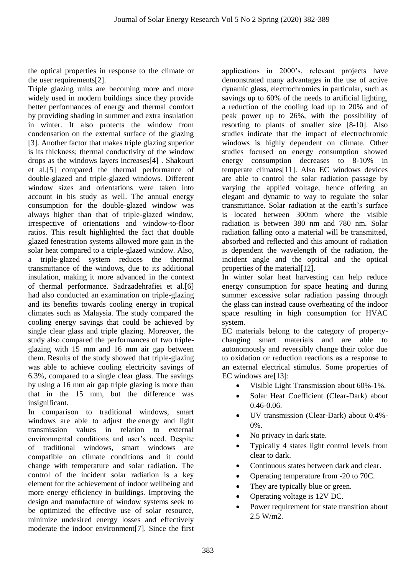the optical properties in response to the climate or the user requirements[2].

Triple glazing units are becoming more and more widely used in modern buildings since they provide better performances of energy and thermal comfort by providing shading in summer and extra insulation in winter. It also protects the window from condensation on the external surface of the glazing [3]. Another factor that makes triple glazing superior is its thickness; thermal conductivity of the window drops as the windows layers increases[4] . Shakouri et al.[5] compared the thermal performance of double-glazed and triple-glazed windows. Different window sizes and orientations were taken into account in his study as well. The annual energy consumption for the double-glazed window was always higher than that of triple-glazed window, irrespective of orientations and window-to-floor ratios. This result highlighted the fact that double glazed fenestration systems allowed more gain in the solar heat compared to a triple-glazed window. Also, a triple-glazed system reduces the thermal transmittance of the windows, due to its additional insulation, making it more advanced in the context of thermal performance. Sadrzadehrafiei et al.[6] had also conducted an examination on triple-glazing and its benefits towards cooling energy in tropical climates such as Malaysia. The study compared the cooling energy savings that could be achieved by single clear glass and triple glazing. Moreover, the study also compared the performances of two tripleglazing with 15 mm and 16 mm air gap between them. Results of the study showed that triple-glazing was able to achieve cooling electricity savings of 6.3%, compared to a single clear glass. The savings by using a 16 mm air gap triple glazing is more than that in the 15 mm, but the difference was insignificant.

In comparison to traditional windows, smart windows are able to adjust the energy and light transmission values in relation to external environmental conditions and user's need. Despite of traditional windows, smart windows are compatible on climate conditions and it could change with temperature and solar radiation. The control of the incident solar radiation is a key element for the achievement of indoor wellbeing and more energy efficiency in buildings. Improving the design and manufacture of window systems seek to be optimized the effective use of solar resource, minimize undesired energy losses and effectively moderate the indoor environment[7]. Since the first applications in 2000's, relevant projects have demonstrated many advantages in the use of active dynamic glass, electrochromics in particular, such as savings up to 60% of the needs to artificial lighting, a reduction of the cooling load up to 20% and of peak power up to 26%, with the possibility of resorting to plants of smaller size [8-10]. Also studies indicate that the impact of electrochromic windows is highly dependent on climate. Other studies focused on energy consumption showed energy consumption decreases to 8-10% in temperate climates[11]. Also EC windows devices are able to control the solar radiation passage by varying the applied voltage, hence offering an elegant and dynamic to way to regulate the solar transmittance. Solar radiation at the earth's surface is located between 300nm where the visible radiation is between 380 nm and 780 nm. Solar radiation falling onto a material will be transmitted, absorbed and reflected and this amount of radiation is dependent the wavelength of the radiation, the incident angle and the optical and the optical properties of the material[12].

In winter solar heat harvesting can help reduce energy consumption for space heating and during summer excessive solar radiation passing through the glass can instead cause overheating of the indoor space resulting in high consumption for HVAC system.

EC materials belong to the category of propertychanging smart materials and are able to autonomously and reversibly change their color due to oxidation or reduction reactions as a response to an external electrical stimulus. Some properties of EC windows are[13]:

- Visible Light Transmission about 60%-1%.
- Solar Heat Coefficient (Clear-Dark) about 0.46-0.06.
- UV transmission (Clear-Dark) about 0.4%- 0%.
- No privacy in dark state.
- Typically 4 states light control levels from clear to dark.
- Continuous states between dark and clear.
- Operating temperature from -20 to 70C.
- They are typically blue or green.
- Operating voltage is 12V DC.
- Power requirement for state transition about 2.5 W/m2.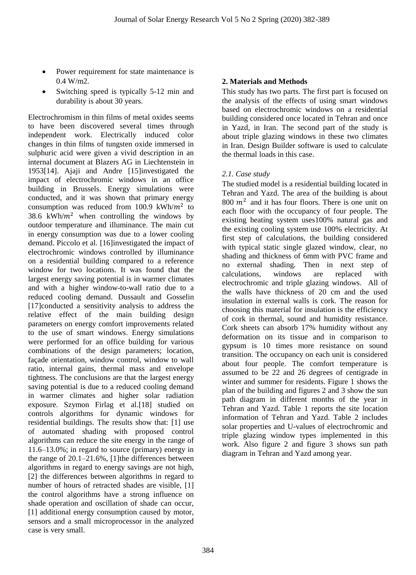- Power requirement for state maintenance is  $0.4 W/m2$ .
- Switching speed is typically 5-12 min and durability is about 30 years.

Electrochromism in thin films of metal oxides seems to have been discovered several times through independent work. Electrically induced color changes in thin films of tungsten oxide immersed in sulphuric acid were given a vivid description in an internal document at Blazers AG in Liechtenstein in 1953[14]. Ajaji and Andre [15]investigated the impact of electrochromic windows in an office building in Brussels. Energy simulations were conducted, and it was shown that primary energy consumption was reduced from 100.9 kWh/ $m^2$  to 38.6 kWh/ $m^2$  when controlling the windows by outdoor temperature and illuminance. The main cut in energy consumption was due to a lower cooling demand. Piccolo et al. [16]investigated the impact of electrochromic windows controlled by illuminance on a residential building compared to a reference window for two locations. It was found that the largest energy saving potential is in warmer climates and with a higher window-to-wall ratio due to a reduced cooling demand. Dussault and Gosselin [17]conducted a sensitivity analysis to address the relative effect of the main building design parameters on energy comfort improvements related to the use of smart windows. Energy simulations were performed for an office building for various combinations of the design parameters; location, façade orientation, window control, window to wall ratio, internal gains, thermal mass and envelope tightness. The conclusions are that the largest energy saving potential is due to a reduced cooling demand in warmer climates and higher solar radiation exposure. Szymon Firlag et al.[18] studied on controls algorithms for dynamic windows for residential buildings. The results show that: [1] use of automated shading with proposed control algorithms can reduce the site energy in the range of 11.6–13.0%; in regard to source (primary) energy in the range of 20.1–21.6%, [1]the differences between algorithms in regard to energy savings are not high, [2] the differences between algorithms in regard to number of hours of retracted shades are visible, [1] the control algorithms have a strong influence on shade operation and oscillation of shade can occur, [1] additional energy consumption caused by motor, sensors and a small microprocessor in the analyzed case is very small.

## **2. Materials and Methods**

This study has two parts. The first part is focused on the analysis of the effects of using smart windows based on electrochromic windows on a residential building considered once located in Tehran and once in Yazd, in Iran. The second part of the study is about triple glazing windows in these two climates in Iran. Design Builder software is used to calculate the thermal loads in this case.

## *2.1. Case study*

The studied model is a residential building located in Tehran and Yazd. The area of the building is about  $800 \; \text{m}^2$  and it has four floors. There is one unit on each floor with the occupancy of four people. The existing heating system uses100% natural gas and the existing cooling system use 100% electricity. At first step of calculations, the building considered with typical static single glazed window, clear, no shading and thickness of 6mm with PVC frame and no external shading. Then in next step of calculations, windows are replaced with electrochromic and triple glazing windows. All of the walls have thickness of 20 cm and the used insulation in external walls is cork. The reason for choosing this material for insulation is the efficiency of cork in thermal, sound and humidity resistance. Cork sheets can absorb 17% humidity without any deformation on its tissue and in comparison to gypsum is 10 times more resistance on sound transition. The occupancy on each unit is considered about four people. The comfort temperature is assumed to be 22 and 26 degrees of centigrade in winter and summer for residents. Figure 1 shows the plan of the building and figures 2 and 3 show the sun path diagram in different months of the year in Tehran and Yazd. Table 1 reports the site location information of Tehran and Yazd. Table 2 includes solar properties and U-values of electrochromic and triple glazing window types implemented in this work. Also figure 2 and figure 3 shows sun path diagram in Tehran and Yazd among year.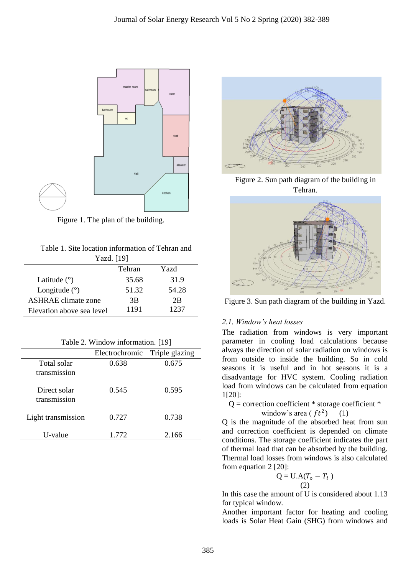

Figure 1. The plan of the building.

| Table 1. Site location information of Tehran and |
|--------------------------------------------------|
| Yazd. [19]                                       |

| 1 azu.   12               |        |       |
|---------------------------|--------|-------|
|                           | Tehran | Yazd  |
| Latitude $(°)$            | 35.68  | 31.9  |
| Longitude $(°)$           | 51.32  | 54.28 |
| ASHRAE climate zone       | 3B     | 2B    |
| Elevation above sea level | 1191   | 1237  |

| Table 2. Window information. [19] |  |
|-----------------------------------|--|
|-----------------------------------|--|

|                              | Electrochromic Triple glazing |       |
|------------------------------|-------------------------------|-------|
| Total solar                  | 0.638                         | 0.675 |
| transmission                 |                               |       |
| Direct solar<br>transmission | 0.545                         | 0.595 |
| Light transmission           | 0.727                         | 0.738 |
| U-value                      | 1.772                         | 2.166 |



Figure 2. Sun path diagram of the building in Tehran.



Figure 3. Sun path diagram of the building in Yazd.

## *2.1. Window's heat losses*

The radiation from windows is very important parameter in cooling load calculations because always the direction of solar radiation on windows is from outside to inside the building. So in cold seasons it is useful and in hot seasons it is a disadvantage for HVC system. Cooling radiation load from windows can be calculated from equation 1[20]:

 $Q =$  correction coefficient  $*$  storage coefficient  $*$ 

window's area 
$$
(ft^2)
$$
 (1)

Q is the magnitude of the absorbed heat from sun and correction coefficient is depended on climate conditions. The storage coefficient indicates the part of thermal load that can be absorbed by the building. Thermal load losses from windows is also calculated from equation 2 [20]:

$$
Q = U.A(T_0 - T_i)
$$
  
(2)

In this case the amount of U is considered about 1.13 for typical window.

Another important factor for heating and cooling loads is Solar Heat Gain (SHG) from windows and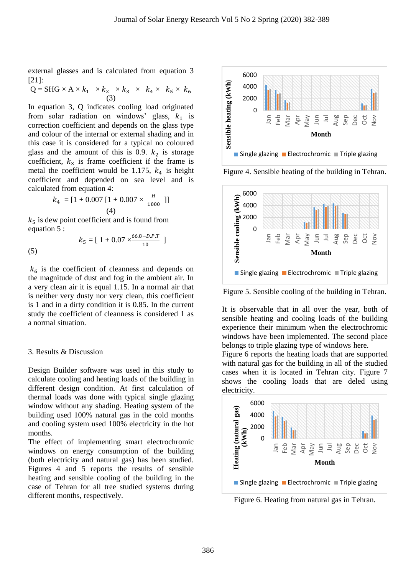external glasses and is calculated from equation 3 [21]:

$$
Q = SHG \times A \times k_1 \times k_2 \times k_3 \times k_4 \times k_5 \times k_6
$$
  
(3)

In equation 3, Q indicates cooling load originated from solar radiation on windows' glass,  $k_1$  is correction coefficient and depends on the glass type and colour of the internal or external shading and in this case it is considered for a typical no coloured glass and the amount of this is 0.9.  $k_2$  is storage coefficient,  $k_3$  is frame coefficient if the frame is metal the coefficient would be 1.175,  $k_4$  is height coefficient and depended on sea level and is calculated from equation 4:

$$
k_4 = [1 + 0.007 [1 + 0.007 \times \frac{H}{1000}]]
$$
  
(4)

 $k_5$  is dew point coefficient and is found from equation 5 :

 $k_5 = [ 1 \pm 0.07 \times \frac{66.8 - D.P.T}{10} ]$ 

(5)

 $k<sub>6</sub>$  is the coefficient of cleanness and depends on the magnitude of dust and fog in the ambient air. In a very clean air it is equal 1.15. In a normal air that is neither very dusty nor very clean, this coefficient is 1 and in a dirty condition it is 0.85. In the current study the coefficient of cleanness is considered 1 as a normal situation.

#### 3. Results & Discussion

Design Builder software was used in this study to calculate cooling and heating loads of the building in different design condition. At first calculation of thermal loads was done with typical single glazing window without any shading. Heating system of the building used 100% natural gas in the cold months and cooling system used 100% electricity in the hot months.

The effect of implementing smart electrochromic windows on energy consumption of the building (both electricity and natural gas) has been studied. Figures 4 and 5 reports the results of sensible heating and sensible cooling of the building in the case of Tehran for all tree studied systems during different months, respectively.



Figure 4. Sensible heating of the building in Tehran.



Figure 5. Sensible cooling of the building in Tehran.

It is observable that in all over the year, both of sensible heating and cooling loads of the building experience their minimum when the electrochromic windows have been implemented. The second place belongs to triple glazing type of windows here.

Figure 6 reports the heating loads that are supported with natural gas for the building in all of the studied cases when it is located in Tehran city. Figure 7 shows the cooling loads that are deled using electricity.



Figure 6. Heating from natural gas in Tehran.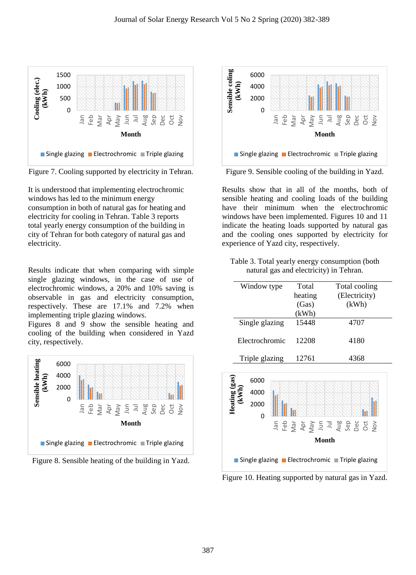

Figure 7. Cooling supported by electricity in Tehran.

It is understood that implementing electrochromic windows has led to the minimum energy consumption in both of natural gas for heating and electricity for cooling in Tehran. Table 3 reports total yearly energy consumption of the building in city of Tehran for both category of natural gas and electricity.

Results indicate that when comparing with simple single glazing windows, in the case of use of electrochromic windows, a 20% and 10% saving is observable in gas and electricity consumption, respectively. These are 17.1% and 7.2% when implementing triple glazing windows.

Figures 8 and 9 show the sensible heating and cooling of the building when considered in Yazd city, respectively.







Figure 9. Sensible cooling of the building in Yazd.

Results show that in all of the months, both of sensible heating and cooling loads of the building have their minimum when the electrochromic windows have been implemented. Figures 10 and 11 indicate the heating loads supported by natural gas and the cooling ones supported by electricity for experience of Yazd city, respectively.

Table 3. Total yearly energy consumption (both natural gas and electricity) in Tehran.

| Window type    | Total   | Total cooling |
|----------------|---------|---------------|
|                | heating | (Electricity) |
|                | (Gas)   | (kWh)         |
|                | (kWh)   |               |
| Single glazing | 15448   | 4707          |
| Electrochromic | 12208   | 4180          |
|                |         |               |
| Triple glazing | 12761   | 4368          |



Figure 10. Heating supported by natural gas in Yazd.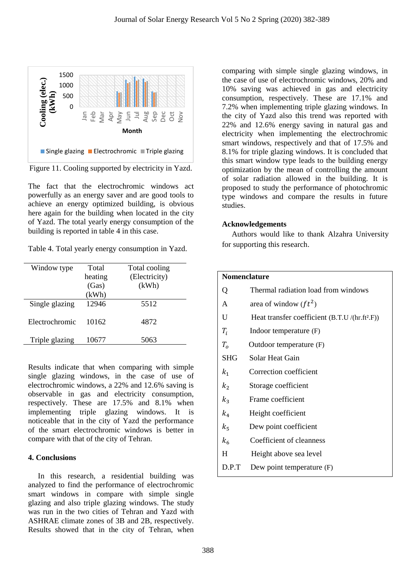

Figure 11. Cooling supported by electricity in Yazd.

The fact that the electrochromic windows act powerfully as an energy saver and are good tools to achieve an energy optimized building, is obvious here again for the building when located in the city of Yazd. The total yearly energy consumption of the building is reported in table 4 in this case.

|  |  |  | Table 4. Total yearly energy consumption in Yazd. |  |  |
|--|--|--|---------------------------------------------------|--|--|
|--|--|--|---------------------------------------------------|--|--|

| Window type    | Total   | Total cooling |
|----------------|---------|---------------|
|                | heating | (Electricity) |
|                | (Gas)   | (kWh)         |
|                | (kWh)   |               |
| Single glazing | 12946   | 5512          |
|                |         |               |
| Electrochromic | 10162   | 4872          |
|                |         |               |
| Triple glazing | 10677   | 5063          |
|                |         |               |

Results indicate that when comparing with simple single glazing windows, in the case of use of electrochromic windows, a 22% and 12.6% saving is observable in gas and electricity consumption, respectively. These are 17.5% and 8.1% when implementing triple glazing windows. It is noticeable that in the city of Yazd the performance of the smart electrochromic windows is better in compare with that of the city of Tehran.

## **4. Conclusions**

 In this research, a residential building was analyzed to find the performance of electrochromic smart windows in compare with simple single glazing and also triple glazing windows. The study was run in the two cities of Tehran and Yazd with ASHRAE climate zones of 3B and 2B, respectively. Results showed that in the city of Tehran, when comparing with simple single glazing windows, in the case of use of electrochromic windows, 20% and 10% saving was achieved in gas and electricity consumption, respectively. These are 17.1% and 7.2% when implementing triple glazing windows. In the city of Yazd also this trend was reported with 22% and 12.6% energy saving in natural gas and electricity when implementing the electrochromic smart windows, respectively and that of 17.5% and 8.1% for triple glazing windows. It is concluded that this smart window type leads to the building energy optimization by the mean of controlling the amount of solar radiation allowed in the building. It is proposed to study the performance of photochromic type windows and compare the results in future studies.

## **Acknowledgements**

 Authors would like to thank Alzahra University for supporting this research.

|                | <b>Nomenclature</b>                             |  |  |
|----------------|-------------------------------------------------|--|--|
| Q              | Thermal radiation load from windows             |  |  |
| A              | area of window $(ft^2)$                         |  |  |
| U              | Heat transfer coefficient $(B.T.U/(hr.ft^2.F))$ |  |  |
| $T_i$          | Indoor temperature (F)                          |  |  |
| $T_{o}$        | Outdoor temperature (F)                         |  |  |
| <b>SHG</b>     | Solar Heat Gain                                 |  |  |
| $k_1$          | Correction coefficient                          |  |  |
| $k_{2}$        | Storage coefficient                             |  |  |
| $k_3$          | Frame coefficient                               |  |  |
| $k_4$          | Height coefficient                              |  |  |
| $k_{5}$        | Dew point coefficient                           |  |  |
| k <sub>6</sub> | Coefficient of cleanness                        |  |  |
| H              | Height above sea level                          |  |  |
| D.P.T          | Dew point temperature (F)                       |  |  |